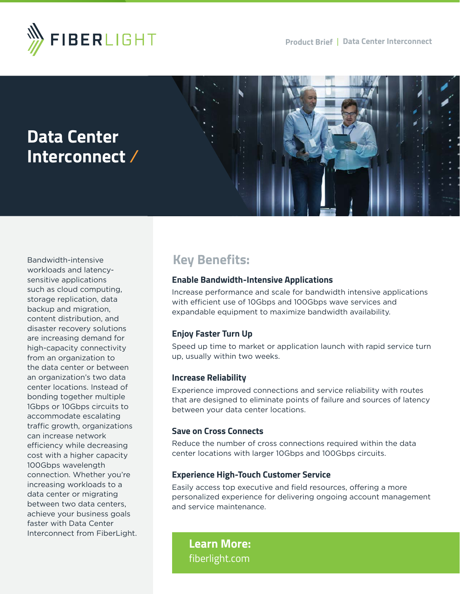



Bandwidth-intensive workloads and latencysensitive applications such as cloud computing, storage replication, data backup and migration, content distribution, and disaster recovery solutions are increasing demand for high-capacity connectivity from an organization to the data center or between an organization's two data center locations. Instead of bonding together multiple 1Gbps or 10Gbps circuits to accommodate escalating traffic growth, organizations can increase network efficiency while decreasing cost with a higher capacity 100Gbps wavelength connection. Whether you're increasing workloads to a data center or migrating between two data centers, achieve your business goals faster with Data Center Interconnect from FiberLight.

# **Key Benefits:**

#### **Enable Bandwidth-Intensive Applications**

Increase performance and scale for bandwidth intensive applications with efficient use of 10Gbps and 100Gbps wave services and expandable equipment to maximize bandwidth availability.

## **Enjoy Faster Turn Up**

Speed up time to market or application launch with rapid service turn up, usually within two weeks.

#### **Increase Reliability**

Experience improved connections and service reliability with routes that are designed to eliminate points of failure and sources of latency between your data center locations.

#### **Save on Cross Connects**

Reduce the number of cross connections required within the data center locations with larger 10Gbps and 100Gbps circuits.

#### **Experience High-Touch Customer Service**

Easily access top executive and field resources, offering a more personalized experience for delivering ongoing account management and service maintenance.

**Learn More:** [fiberlight.com](http://fiberlight.com)